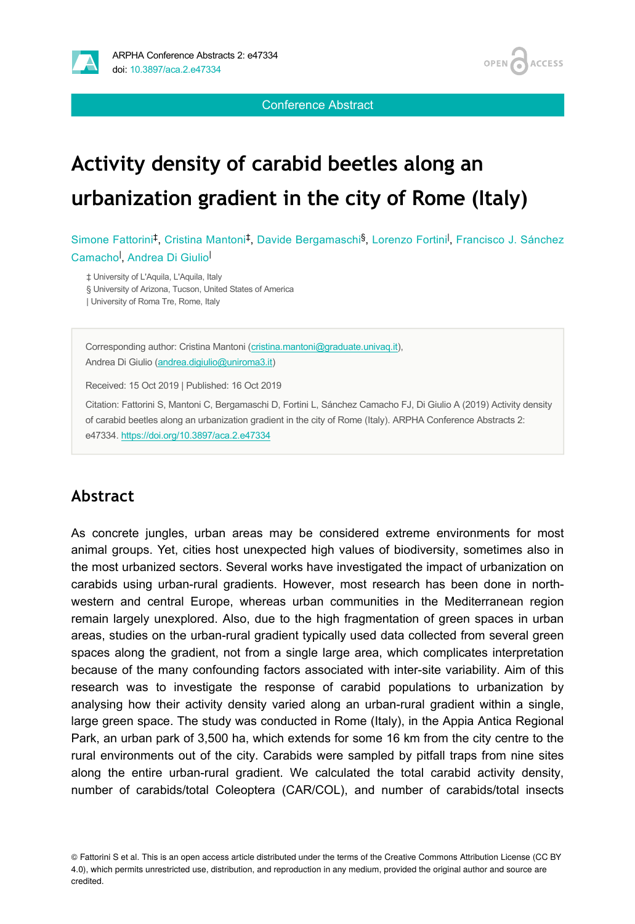

Conference Abstract

**ACCESS** 

**OPEN** 

# **Activity density of carabid beetles along an urbanization gradient in the city of Rome (Italy)**

Simone Fattorini<sup>‡</sup>, Cristina Mantoni<sup>‡</sup>, Davide Bergamaschi<sup>§</sup>, Lorenzo Fortini<sup>l</sup>, Francisco J. Sánchez Camacho<sup>l</sup>, Andrea Di Giulio

‡ University of L'Aquila, L'Aquila, Italy § University of Arizona, Tucson, United States of America | University of Roma Tre, Rome, Italy

Corresponding author: Cristina Mantoni ([cristina.mantoni@graduate.univaq.it\)](mailto:cristina.mantoni@graduate.univaq.it), Andrea Di Giulio [\(andrea.digiulio@uniroma3.it](mailto:andrea.digiulio@uniroma3.it))

Received: 15 Oct 2019 | Published: 16 Oct 2019

Citation: Fattorini S, Mantoni C, Bergamaschi D, Fortini L, Sánchez Camacho FJ, Di Giulio A (2019) Activity density of carabid beetles along an urbanization gradient in the city of Rome (Italy). ARPHA Conference Abstracts 2: e47334.<https://doi.org/10.3897/aca.2.e47334>

### **Abstract**

As concrete jungles, urban areas may be considered extreme environments for most animal groups. Yet, cities host unexpected high values of biodiversity, sometimes also in the most urbanized sectors. Several works have investigated the impact of urbanization on carabids using urban-rural gradients. However, most research has been done in northwestern and central Europe, whereas urban communities in the Mediterranean region remain largely unexplored. Also, due to the high fragmentation of green spaces in urban areas, studies on the urban-rural gradient typically used data collected from several green spaces along the gradient, not from a single large area, which complicates interpretation because of the many confounding factors associated with inter-site variability. Aim of this research was to investigate the response of carabid populations to urbanization by analysing how their activity density varied along an urban-rural gradient within a single, large green space. The study was conducted in Rome (Italy), in the Appia Antica Regional Park, an urban park of 3,500 ha, which extends for some 16 km from the city centre to the rural environments out of the city. Carabids were sampled by pitfall traps from nine sites along the entire urban-rural gradient. We calculated the total carabid activity density, number of carabids/total Coleoptera (CAR/COL), and number of carabids/total insects

© Fattorini S et al. This is an open access article distributed under the terms of the Creative Commons Attribution License (CC BY 4.0), which permits unrestricted use, distribution, and reproduction in any medium, provided the original author and source are credited.